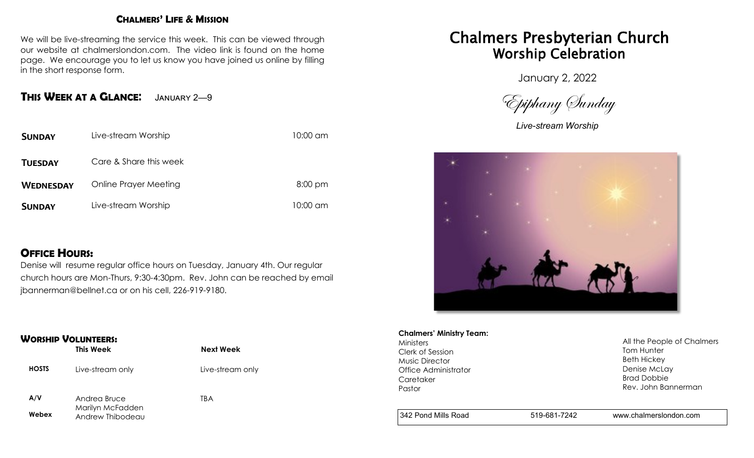#### **CHALMERS' LIFE & MISSION**

We will be live-streaming the service this week. This can be viewed through our website at chalmerslondon.com. The video link is found on the home page. We encourage you to let us know you have joined us online by filling in the short response form.

## **THIS WEEK AT <sup>A</sup> GLANCE**: January 2—<sup>9</sup>

| <b>SUNDAY</b>    | Live-stream Worship    | 10:00 am  |
|------------------|------------------------|-----------|
| <b>TUESDAY</b>   | Care & Share this week |           |
| <b>WEDNESDAY</b> | Online Prayer Meeting  | $8:00$ pm |
| <b>SUNDAY</b>    | Live-stream Worship    | 10:00 am  |

## **OFFICE HOURS:**

Denise will resume regular office hours on Tuesday, January 4th. Our regular church hours are Mon-Thurs, 9:30-4:30pm. Rev. John can be reached by email jbannerman@bellnet.ca or on his cell, 226-919-9180.

#### **WORSHIP VOLUNTEERS:**

|              | This Week                        | <b>Next Week</b> |
|--------------|----------------------------------|------------------|
| <b>HOSTS</b> | Live-stream only                 | Live-stream only |
| A/V          | Andrea Bruce<br>Marilyn McFadden | TBA              |

**Webex** Andrew Thibodeau Chalmers Presbyterian Church Worship Celebration

January 2, 2022

Epiphany Sunday

*Live-stream Worship*



## **Chalmers' Ministry Team:**

Ministers Clerk of Session Music Director Office Administrator **Caretaker** Pastor

All the People of Chalmers Tom Hunter Beth Hickey Denise McLay Brad Dobbie Rev. John Bannerman

342 Pond Mills Road 519-681-7242 www.chalmerslondon.com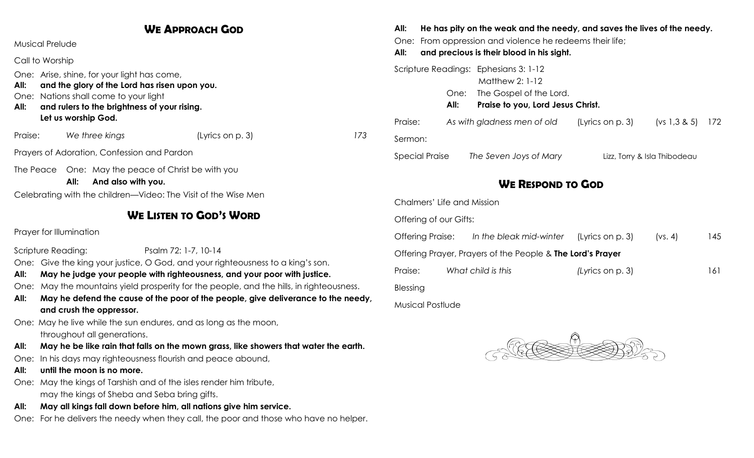## **WE APPROACH GOD**

Musical Prelude

Call to Worship

One: Arise, shine, for your light has come,

- **All: and the glory of the Lord has risen upon you.**
- One: Nations shall come to your light
- **All: and rulers to the brightness of your rising. Let us worship God.**

Praise: *We three kings* (Lyrics on p. 3) *173*

Prayers of Adoration, Confession and Pardon

The Peace One: May the peace of Christ be with you

**All: And also with you.**

Celebrating with the children—Video: The Visit of the Wise Men

## **WE LISTEN TO GOD'S WORD**

Prayer for Illumination

Scripture Reading: Psalm 72: 1-7, 10-14

- One: Give the king your justice, O God, and your righteousness to a king's son.
- **All: May he judge your people with righteousness, and your poor with justice.**
- One: May the mountains yield prosperity for the people, and the hills, in righteousness.
- **All: May he defend the cause of the poor of the people, give deliverance to the needy, and crush the oppressor.**

One: May he live while the sun endures, and as long as the moon,

throughout all generations.

- **All: May he be like rain that falls on the mown grass, like showers that water the earth.**
- One: In his days may righteousness flourish and peace abound,
- **All: until the moon is no more.**
- One: May the kings of Tarshish and of the isles render him tribute, may the kings of Sheba and Seba bring gifts.
- **All: May all kings fall down before him, all nations give him service.**
- One: For he delivers the needy when they call, the poor and those who have no helper.

# **All: He has pity on the weak and the needy, and saves the lives of the needy.**

One: From oppression and violence he redeems their life;

**All: and precious is their blood in his sight.**

| Scripture Readings: Ephesians 3: 1-12 |      | Matthew 2: 1-12                   |                              |                     |  |
|---------------------------------------|------|-----------------------------------|------------------------------|---------------------|--|
|                                       | One: | The Gospel of the Lord.           |                              |                     |  |
|                                       | All: | Praise to you, Lord Jesus Christ. |                              |                     |  |
| Praise:                               |      | As with gladness men of old       | (Lyrics on p. 3)             | $(vs 1, 3 & 5)$ 172 |  |
| Sermon:                               |      |                                   |                              |                     |  |
| <b>Special Praise</b>                 |      | The Seven Joys of Mary            | Lizz, Torry & Isla Thibodeau |                     |  |

# **WE RESPOND TO GOD**

Chalmers' Life and Mission

Offering of our Gifts:

| Offering Praise:                                                  |  | In the bleak mid-winter | (Lyrics on p. 3)    | (vs. 4) | 145  |  |  |
|-------------------------------------------------------------------|--|-------------------------|---------------------|---------|------|--|--|
| Offering Prayer, Prayers of the People & <b>The Lord's Prayer</b> |  |                         |                     |         |      |  |  |
| Praise:                                                           |  | What child is this      | (Lyrics on $p. 3$ ) |         | 16 I |  |  |
| Blessing                                                          |  |                         |                     |         |      |  |  |
| Musical Postlude                                                  |  |                         |                     |         |      |  |  |

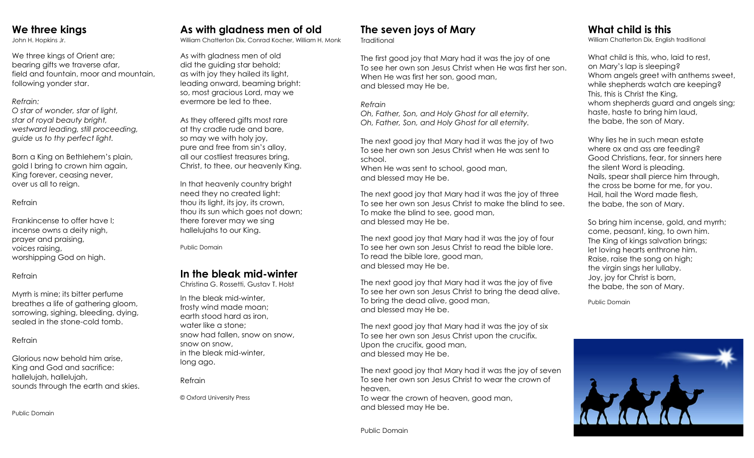## **We three kings**

John H. Hopkins Jr.

We three kings of Orient are; bearing gifts we traverse afar, field and fountain, moor and mountain, following yonder star.

#### *Refrain:*

*O star of wonder, star of light, star of royal beauty bright, westward leading, still proceeding, guide us to thy perfect light.*

Born a King on Bethlehem's plain, gold I bring to crown him again, King forever, ceasing never, over us all to reign.

#### Refrain

Frankincense to offer have I; incense owns a deity nigh, prayer and praising, voices raising, worshipping God on high.

#### Refrain

Myrrh is mine; its bitter perfume breathes a life of gathering gloom, sorrowing, sighing, bleeding, dying, sealed in the stone-cold tomb.

#### Refrain

Glorious now behold him arise, King and God and sacrifice: hallelujah, hallelujah, sounds through the earth and skies.

Public Domain

# **As with gladness men of old**

William Chatterton Dix, Conrad Kocher, William H. Monk

As with gladness men of old did the guiding star behold; as with joy they hailed its light, leading onward, beaming bright: so, most gracious Lord, may we evermore be led to thee.

As they offered gifts most rare at thy cradle rude and bare, so may we with holy joy, pure and free from sin's alloy, all our costliest treasures bring, Christ, to thee, our heavenly King.

In that heavenly country bright need they no created light: thou its light, its joy, its crown, thou its sun which goes not down; there forever may we sing hallelujahs to our King.

Public Domain

## **In the bleak mid-winter**

Christina G. Rossetti, Gustav T. Holst

In the bleak mid-winter, frosty wind made moan; earth stood hard as iron, water like a stone; snow had fallen, snow on snow, snow on snow, in the bleak mid-winter, long ago.

Refrain

© Oxford University Press

## **The seven joys of Mary**

**Traditional** 

The first good joy that Mary had it was the joy of one To see her own son Jesus Christ when He was first her son. When He was first her son, good man, and blessed may He be,

#### *Refrain*

*Oh, Father, Son, and Holy Ghost for all eternity. Oh, Father, Son, and Holy Ghost for all eternity.*

The next good joy that Mary had it was the joy of two To see her own son Jesus Christ when He was sent to school.

When He was sent to school, good man, and blessed may He be.

The next good joy that Mary had it was the joy of three To see her own son Jesus Christ to make the blind to see. To make the blind to see, good man, and blessed may He be.

The next good joy that Mary had it was the joy of four To see her own son Jesus Christ to read the bible lore. To read the bible lore, good man, and blessed may He be.

The next good joy that Mary had it was the joy of five To see her own son Jesus Christ to bring the dead alive. To bring the dead alive, good man, and blessed may He be.

The next good joy that Mary had it was the joy of six To see her own son Jesus Christ upon the crucifix. Upon the crucifix, good man, and blessed may He be.

The next good joy that Mary had it was the joy of seven To see her own son Jesus Christ to wear the crown of heaven. To wear the crown of heaven, good man,

and blessed may He be.

# **What child is this**

William Chatterton Dix, English traditional

What child is this, who, laid to rest, on Mary's lap is sleeping? Whom angels greet with anthems sweet, while shepherds watch are keeping? This, this is Christ the King, whom shepherds guard and angels sing; haste, haste to bring him laud, the babe, the son of Mary.

Why lies he in such mean estate where ox and ass are feeding? Good Christians, fear, for sinners here the silent Word is pleading. Nails, spear shall pierce him through, the cross be borne for me, for you. Hail, hail the Word made flesh, the babe, the son of Mary.

So bring him incense, gold, and myrrh; come, peasant, king, to own him. The King of kings salvation brings; let loving hearts enthrone him. Raise, raise the song on high; the virgin sings her lullaby. Joy, joy for Christ is born, the babe, the son of Mary.

Public Domain



Public Domain